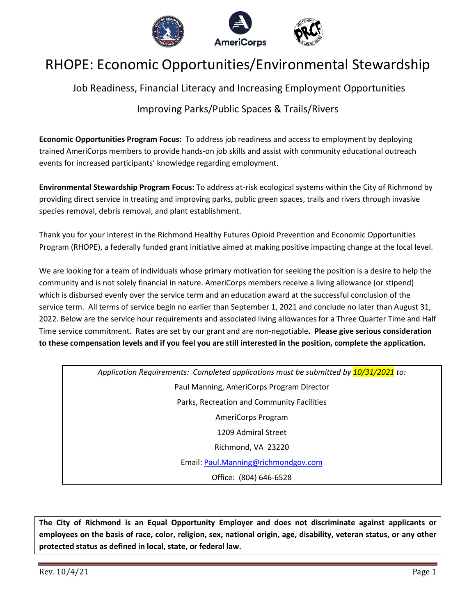

# RHOPE: Economic Opportunities/Environmental Stewardship

Job Readiness, Financial Literacy and Increasing Employment Opportunities

# Improving Parks/Public Spaces & Trails/Rivers

**Economic Opportunities Program Focus:** To address job readiness and access to employment by deploying trained AmeriCorps members to provide hands-on job skills and assist with community educational outreach events for increased participants' knowledge regarding employment.

**Environmental Stewardship Program Focus:** To address at-risk ecological systems within the City of Richmond by providing direct service in treating and improving parks, public green spaces, trails and rivers through invasive species removal, debris removal, and plant establishment.

Thank you for your interest in the Richmond Healthy Futures Opioid Prevention and Economic Opportunities Program (RHOPE), a federally funded grant initiative aimed at making positive impacting change at the local level.

We are looking for a team of individuals whose primary motivation for seeking the position is a desire to help the community and is not solely financial in nature. AmeriCorps members receive a living allowance (or stipend) which is disbursed evenly over the service term and an education award at the successful conclusion of the service term. All terms of service begin no earlier than September 1, 2021 and conclude no later than August 31, 2022. Below are the service hour requirements and associated living allowances for a Three Quarter Time and Half Time service commitment. Rates are set by our grant and are non-negotiable**. Please give serious consideration to these compensation levels and if you feel you are still interested in the position, complete the application.**

> *Application Requirements: Completed applications must be submitted by 10/31/2021 to:*  Paul Manning, AmeriCorps Program Director Parks, Recreation and Community Facilities AmeriCorps Program 1209 Admiral Street Richmond, VA 23220 Email: Paul.Manning@richmondgov.com Office: (804) 646-6528

**The City of Richmond is an Equal Opportunity Employer and does not discriminate against applicants or employees on the basis of race, color, religion, sex, national origin, age, disability, veteran status, or any other protected status as defined in local, state, or federal law.**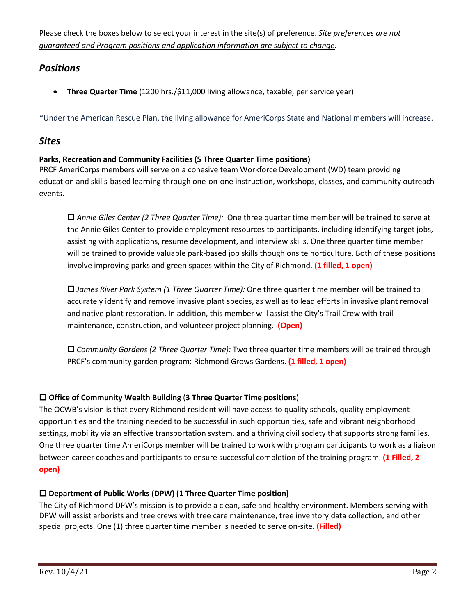Please check the boxes below to select your interest in the site(s) of preference. *Site preferences are not guaranteed and Program positions and application information are subject to change.* 

# *Positions*

• **Three Quarter Time** (1200 hrs./\$11,000 living allowance, taxable, per service year)

\*Under the American Rescue Plan, the living allowance for AmeriCorps State and National members will increase.

## *Sites*

### **Parks, Recreation and Community Facilities (5 Three Quarter Time positions)**

PRCF AmeriCorps members will serve on a cohesive team Workforce Development (WD) team providing education and skills-based learning through one-on-one instruction, workshops, classes, and community outreach events.

 *Annie Giles Center (2 Three Quarter Time):* One three quarter time member will be trained to serve at the Annie Giles Center to provide employment resources to participants, including identifying target jobs, assisting with applications, resume development, and interview skills. One three quarter time member will be trained to provide valuable park-based job skills though onsite horticulture. Both of these positions involve improving parks and green spaces within the City of Richmond. **(1 filled, 1 open)**

 *James River Park System (1 Three Quarter Time):* One three quarter time member will be trained to accurately identify and remove invasive plant species, as well as to lead efforts in invasive plant removal and native plant restoration. In addition, this member will assist the City's Trail Crew with trail maintenance, construction, and volunteer project planning. **(Open)**

 *Community Gardens (2 Three Quarter Time):* Two three quarter time members will be trained through PRCF's community garden program: Richmond Grows Gardens. **(1 filled, 1 open)**

## **Office of Community Wealth Building** (**3 Three Quarter Time positions**)

The OCWB's vision is that every Richmond resident will have access to quality schools, quality employment opportunities and the training needed to be successful in such opportunities, safe and vibrant neighborhood settings, mobility via an effective transportation system, and a thriving civil society that supports strong families. One three quarter time AmeriCorps member will be trained to work with program participants to work as a liaison between career coaches and participants to ensure successful completion of the training program. **(1 Filled, 2 open)**

## **Department of Public Works (DPW) (1 Three Quarter Time position)**

The City of Richmond DPW's mission is to provide a clean, safe and healthy environment. Members serving with DPW will assist arborists and tree crews with tree care maintenance, tree inventory data collection, and other special projects. One (1) three quarter time member is needed to serve on-site. **(Filled)**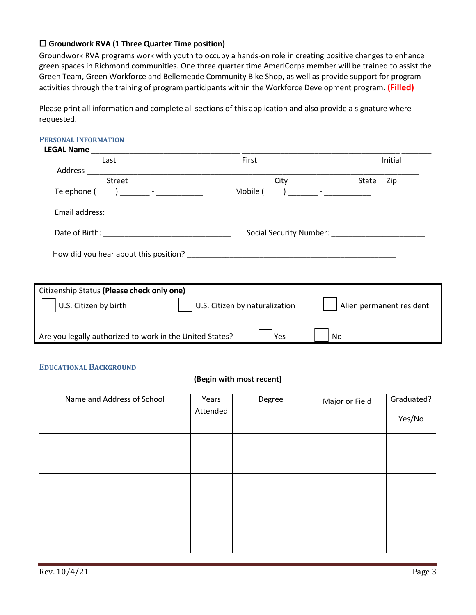#### **Groundwork RVA (1 Three Quarter Time position)**

Groundwork RVA programs work with youth to occupy a hands-on role in creating positive changes to enhance green spaces in Richmond communities. One three quarter time AmeriCorps member will be trained to assist the Green Team, Green Workforce and Bellemeade Community Bike Shop, as well as provide support for program activities through the training of program participants within the Workforce Development program. **(Filled)**

Please print all information and complete all sections of this application and also provide a signature where requested.

| <b>PERSONAL INFORMATION</b>                              |                                       |                          |
|----------------------------------------------------------|---------------------------------------|--------------------------|
|                                                          |                                       |                          |
| Last                                                     | First                                 | Initial                  |
|                                                          |                                       |                          |
| <b>Street</b>                                            | City                                  | State<br>Zip             |
| Telephone ( ) _______ - ___________                      | ) _______ - _____________<br>Mobile ( |                          |
|                                                          |                                       |                          |
|                                                          |                                       |                          |
|                                                          |                                       |                          |
|                                                          |                                       |                          |
| Citizenship Status (Please check only one)               |                                       |                          |
| U.S. Citizen by birth                                    | U.S. Citizen by naturalization        | Alien permanent resident |
| Are you legally authorized to work in the United States? | Yes<br>No                             |                          |

#### **EDUCATIONAL BACKGROUND**

#### **(Begin with most recent)**

| Name and Address of School | Years<br>Attended | Degree | Major or Field | Graduated?<br>Yes/No |
|----------------------------|-------------------|--------|----------------|----------------------|
|                            |                   |        |                |                      |
|                            |                   |        |                |                      |
|                            |                   |        |                |                      |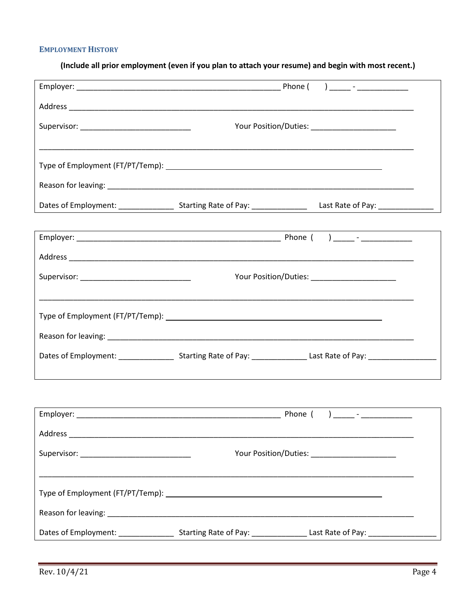#### **EMPLOYMENT HISTORY**

(Include all prior employment (even if you plan to attach your resume) and begin with most recent.)

|                                              |                                                                                                                      | Your Position/Duties: _______________________ |
|----------------------------------------------|----------------------------------------------------------------------------------------------------------------------|-----------------------------------------------|
|                                              |                                                                                                                      |                                               |
|                                              |                                                                                                                      |                                               |
|                                              |                                                                                                                      |                                               |
|                                              |                                                                                                                      |                                               |
|                                              |                                                                                                                      |                                               |
|                                              |                                                                                                                      |                                               |
|                                              |                                                                                                                      |                                               |
| Supervisor: ______________________________   |                                                                                                                      |                                               |
|                                              |                                                                                                                      |                                               |
|                                              |                                                                                                                      |                                               |
|                                              |                                                                                                                      |                                               |
|                                              |                                                                                                                      |                                               |
|                                              |                                                                                                                      |                                               |
|                                              |                                                                                                                      |                                               |
|                                              |                                                                                                                      |                                               |
|                                              |                                                                                                                      |                                               |
| Supervisor: ________________________________ |                                                                                                                      |                                               |
|                                              |                                                                                                                      |                                               |
|                                              |                                                                                                                      |                                               |
|                                              |                                                                                                                      |                                               |
|                                              | Dates of Employment: ______________________Starting Rate of Pay: _______________Last Rate of Pay: __________________ |                                               |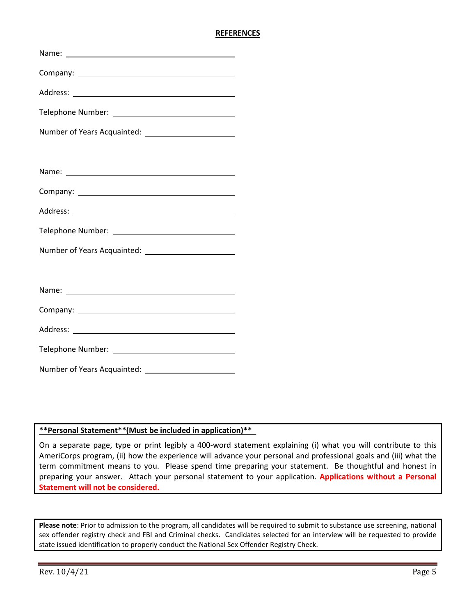#### **REFERENCES**

#### **\*\*Personal Statement\*\*(Must be included in application)\*\***\_

On a separate page, type or print legibly a 400-word statement explaining (i) what you will contribute to this AmeriCorps program, (ii) how the experience will advance your personal and professional goals and (iii) what the term commitment means to you. Please spend time preparing your statement. Be thoughtful and honest in preparing your answer. Attach your personal statement to your application. **Applications without a Personal Statement will not be considered.**

**Please note**: Prior to admission to the program, all candidates will be required to submit to substance use screening, national sex offender registry check and FBI and Criminal checks. Candidates selected for an interview will be requested to provide state issued identification to properly conduct the National Sex Offender Registry Check.